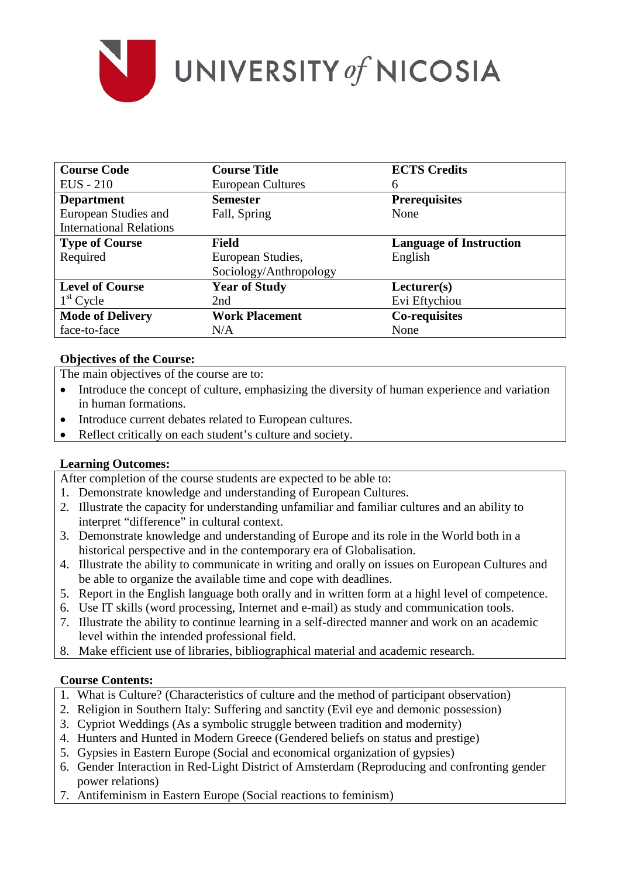

| <b>Course Code</b>             | <b>Course Title</b>      | <b>ECTS Credits</b>            |
|--------------------------------|--------------------------|--------------------------------|
| <b>EUS</b> - 210               | <b>European Cultures</b> | 6                              |
| <b>Department</b>              | <b>Semester</b>          | <b>Prerequisites</b>           |
| European Studies and           | Fall, Spring             | None                           |
| <b>International Relations</b> |                          |                                |
| <b>Type of Course</b>          | <b>Field</b>             | <b>Language of Instruction</b> |
| Required                       | European Studies,        | English                        |
|                                | Sociology/Anthropology   |                                |
| <b>Level of Course</b>         | <b>Year of Study</b>     | Lecturer(s)                    |
| $1st$ Cycle                    | 2nd                      | Evi Eftychiou                  |
| <b>Mode of Delivery</b>        | <b>Work Placement</b>    | Co-requisites                  |
| face-to-face                   | N/A                      | None                           |

# **Objectives of the Course:**

The main objectives of the course are to:

- Introduce the concept of culture, emphasizing the diversity of human experience and variation in human formations.
- Introduce current debates related to European cultures.
- Reflect critically on each student's culture and society.

# **Learning Outcomes:**

After completion of the course students are expected to be able to:

- 1. Demonstrate knowledge and understanding of European Cultures.
- 2. Illustrate the capacity for understanding unfamiliar and familiar cultures and an ability to interpret "difference" in cultural context.
- 3. Demonstrate knowledge and understanding of Europe and its role in the World both in a historical perspective and in the contemporary era of Globalisation.
- 4. Illustrate the ability to communicate in writing and orally on issues on European Cultures and be able to organize the available time and cope with deadlines.
- 5. Report in the English language both orally and in written form at a highl level of competence.
- 6. Use IT skills (word processing, Internet and e-mail) as study and communication tools.
- 7. Illustrate the ability to continue learning in a self-directed manner and work on an academic level within the intended professional field.
- 8. Make efficient use of libraries, bibliographical material and academic research.

## **Course Contents:**

- 1. What is Culture? (Characteristics of culture and the method of participant observation)
- 2. Religion in Southern Italy: Suffering and sanctity (Evil eye and demonic possession)
- 3. Cypriot Weddings (As a symbolic struggle between tradition and modernity)
- 4. Hunters and Hunted in Modern Greece (Gendered beliefs on status and prestige)
- 5. Gypsies in Eastern Europe (Social and economical organization of gypsies)
- 6. Gender Interaction in Red-Light District of Amsterdam (Reproducing and confronting gender power relations)
- 7. Antifeminism in Eastern Europe (Social reactions to feminism)